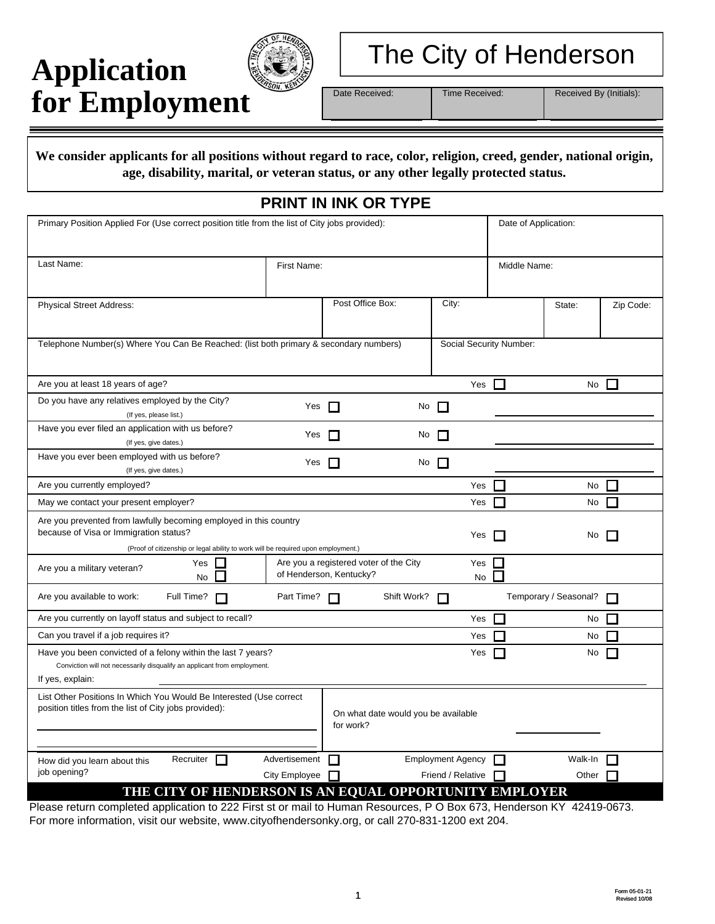# **Application for Employment**



# The City of Henderson

Date Received: Time Received:

Received By (Initials):

**We consider applicants for all positions without regard to race, color, religion, creed, gender, national origin, age, disability, marital, or veteran status, or any other legally protected status.**

## **PRINT IN INK OR TYPE**

| Last Name:<br>First Name:<br>Middle Name:<br>Post Office Box:<br>City:<br><b>Physical Street Address:</b><br>Zip Code:<br>State:<br>Telephone Number(s) Where You Can Be Reached: (list both primary & secondary numbers)<br>Social Security Number:<br>Are you at least 18 years of age?<br>Yes<br>П<br>П<br>No<br>Do you have any relatives employed by the City?<br>Yes<br>No<br>$\Box$<br>$\sim$<br>(If yes, please list.)<br>Have you ever filed an application with us before?<br>Yes<br>No<br>$\Box$<br>П<br>(If yes, give dates.)<br>Have you ever been employed with us before?<br>Yes<br>$\Box$<br>No<br>$\Box$<br>(If yes, give dates.)<br>Are you currently employed?<br>Yes<br>П<br>ш<br>No<br>May we contact your present employer?<br>Yes<br>No<br>Are you prevented from lawfully becoming employed in this country<br>because of Visa or Immigration status?<br>Yes<br>No<br>(Proof of citizenship or legal ability to work will be required upon employment.)<br>Yes<br>Are you a registered voter of the City<br>Yes<br>Are you a military veteran?<br>of Henderson, Kentucky?<br><b>No</b><br>No<br>Are you available to work:<br>Full Time?<br>Part Time?<br>Shift Work?<br>Temporary / Seasonal?<br>П<br>H<br>Are you currently on layoff status and subject to recall?<br>Yes<br>П<br>No<br>ш<br>Can you travel if a job requires it?<br>Yes<br>No<br>Have you been convicted of a felony within the last 7 years?<br>Yes<br>No<br>Conviction will not necessarily disqualify an applicant from employment.<br>If yes, explain:<br>List Other Positions In Which You Would Be Interested (Use correct<br>position titles from the list of City jobs provided):<br>On what date would you be available<br>for work?<br>Recruiter <b>I</b><br><b>Employment Agency</b><br>Advertisement<br>Walk-In<br>$\Box$<br>П<br>How did you learn about this<br>job opening?<br>City Employee<br>Friend / Relative<br>Other<br>THE CITY OF HENDERSON IS AN EQUAL OPPORTUNITY EMPLOYER | Primary Position Applied For (Use correct position title from the list of City jobs provided): |  |  | Date of Application: |  |
|-------------------------------------------------------------------------------------------------------------------------------------------------------------------------------------------------------------------------------------------------------------------------------------------------------------------------------------------------------------------------------------------------------------------------------------------------------------------------------------------------------------------------------------------------------------------------------------------------------------------------------------------------------------------------------------------------------------------------------------------------------------------------------------------------------------------------------------------------------------------------------------------------------------------------------------------------------------------------------------------------------------------------------------------------------------------------------------------------------------------------------------------------------------------------------------------------------------------------------------------------------------------------------------------------------------------------------------------------------------------------------------------------------------------------------------------------------------------------------------------------------------------------------------------------------------------------------------------------------------------------------------------------------------------------------------------------------------------------------------------------------------------------------------------------------------------------------------------------------------------------------------------------------------------------------------------------------------------------------------------------|------------------------------------------------------------------------------------------------|--|--|----------------------|--|
|                                                                                                                                                                                                                                                                                                                                                                                                                                                                                                                                                                                                                                                                                                                                                                                                                                                                                                                                                                                                                                                                                                                                                                                                                                                                                                                                                                                                                                                                                                                                                                                                                                                                                                                                                                                                                                                                                                                                                                                                 |                                                                                                |  |  |                      |  |
|                                                                                                                                                                                                                                                                                                                                                                                                                                                                                                                                                                                                                                                                                                                                                                                                                                                                                                                                                                                                                                                                                                                                                                                                                                                                                                                                                                                                                                                                                                                                                                                                                                                                                                                                                                                                                                                                                                                                                                                                 |                                                                                                |  |  |                      |  |
|                                                                                                                                                                                                                                                                                                                                                                                                                                                                                                                                                                                                                                                                                                                                                                                                                                                                                                                                                                                                                                                                                                                                                                                                                                                                                                                                                                                                                                                                                                                                                                                                                                                                                                                                                                                                                                                                                                                                                                                                 |                                                                                                |  |  |                      |  |
|                                                                                                                                                                                                                                                                                                                                                                                                                                                                                                                                                                                                                                                                                                                                                                                                                                                                                                                                                                                                                                                                                                                                                                                                                                                                                                                                                                                                                                                                                                                                                                                                                                                                                                                                                                                                                                                                                                                                                                                                 |                                                                                                |  |  |                      |  |
|                                                                                                                                                                                                                                                                                                                                                                                                                                                                                                                                                                                                                                                                                                                                                                                                                                                                                                                                                                                                                                                                                                                                                                                                                                                                                                                                                                                                                                                                                                                                                                                                                                                                                                                                                                                                                                                                                                                                                                                                 |                                                                                                |  |  |                      |  |
|                                                                                                                                                                                                                                                                                                                                                                                                                                                                                                                                                                                                                                                                                                                                                                                                                                                                                                                                                                                                                                                                                                                                                                                                                                                                                                                                                                                                                                                                                                                                                                                                                                                                                                                                                                                                                                                                                                                                                                                                 |                                                                                                |  |  |                      |  |
|                                                                                                                                                                                                                                                                                                                                                                                                                                                                                                                                                                                                                                                                                                                                                                                                                                                                                                                                                                                                                                                                                                                                                                                                                                                                                                                                                                                                                                                                                                                                                                                                                                                                                                                                                                                                                                                                                                                                                                                                 |                                                                                                |  |  |                      |  |
|                                                                                                                                                                                                                                                                                                                                                                                                                                                                                                                                                                                                                                                                                                                                                                                                                                                                                                                                                                                                                                                                                                                                                                                                                                                                                                                                                                                                                                                                                                                                                                                                                                                                                                                                                                                                                                                                                                                                                                                                 |                                                                                                |  |  |                      |  |
|                                                                                                                                                                                                                                                                                                                                                                                                                                                                                                                                                                                                                                                                                                                                                                                                                                                                                                                                                                                                                                                                                                                                                                                                                                                                                                                                                                                                                                                                                                                                                                                                                                                                                                                                                                                                                                                                                                                                                                                                 |                                                                                                |  |  |                      |  |
|                                                                                                                                                                                                                                                                                                                                                                                                                                                                                                                                                                                                                                                                                                                                                                                                                                                                                                                                                                                                                                                                                                                                                                                                                                                                                                                                                                                                                                                                                                                                                                                                                                                                                                                                                                                                                                                                                                                                                                                                 |                                                                                                |  |  |                      |  |
|                                                                                                                                                                                                                                                                                                                                                                                                                                                                                                                                                                                                                                                                                                                                                                                                                                                                                                                                                                                                                                                                                                                                                                                                                                                                                                                                                                                                                                                                                                                                                                                                                                                                                                                                                                                                                                                                                                                                                                                                 |                                                                                                |  |  |                      |  |
|                                                                                                                                                                                                                                                                                                                                                                                                                                                                                                                                                                                                                                                                                                                                                                                                                                                                                                                                                                                                                                                                                                                                                                                                                                                                                                                                                                                                                                                                                                                                                                                                                                                                                                                                                                                                                                                                                                                                                                                                 |                                                                                                |  |  |                      |  |
|                                                                                                                                                                                                                                                                                                                                                                                                                                                                                                                                                                                                                                                                                                                                                                                                                                                                                                                                                                                                                                                                                                                                                                                                                                                                                                                                                                                                                                                                                                                                                                                                                                                                                                                                                                                                                                                                                                                                                                                                 |                                                                                                |  |  |                      |  |
|                                                                                                                                                                                                                                                                                                                                                                                                                                                                                                                                                                                                                                                                                                                                                                                                                                                                                                                                                                                                                                                                                                                                                                                                                                                                                                                                                                                                                                                                                                                                                                                                                                                                                                                                                                                                                                                                                                                                                                                                 |                                                                                                |  |  |                      |  |
|                                                                                                                                                                                                                                                                                                                                                                                                                                                                                                                                                                                                                                                                                                                                                                                                                                                                                                                                                                                                                                                                                                                                                                                                                                                                                                                                                                                                                                                                                                                                                                                                                                                                                                                                                                                                                                                                                                                                                                                                 |                                                                                                |  |  |                      |  |
|                                                                                                                                                                                                                                                                                                                                                                                                                                                                                                                                                                                                                                                                                                                                                                                                                                                                                                                                                                                                                                                                                                                                                                                                                                                                                                                                                                                                                                                                                                                                                                                                                                                                                                                                                                                                                                                                                                                                                                                                 |                                                                                                |  |  |                      |  |
|                                                                                                                                                                                                                                                                                                                                                                                                                                                                                                                                                                                                                                                                                                                                                                                                                                                                                                                                                                                                                                                                                                                                                                                                                                                                                                                                                                                                                                                                                                                                                                                                                                                                                                                                                                                                                                                                                                                                                                                                 |                                                                                                |  |  |                      |  |
|                                                                                                                                                                                                                                                                                                                                                                                                                                                                                                                                                                                                                                                                                                                                                                                                                                                                                                                                                                                                                                                                                                                                                                                                                                                                                                                                                                                                                                                                                                                                                                                                                                                                                                                                                                                                                                                                                                                                                                                                 |                                                                                                |  |  |                      |  |

Please return completed application to 222 First st or mail to Human Resources, P O Box 673, Henderson KY 42419-0673. For more information, visit our website, www.cityofhendersonky.org, or call 270-831-1200 ext 204.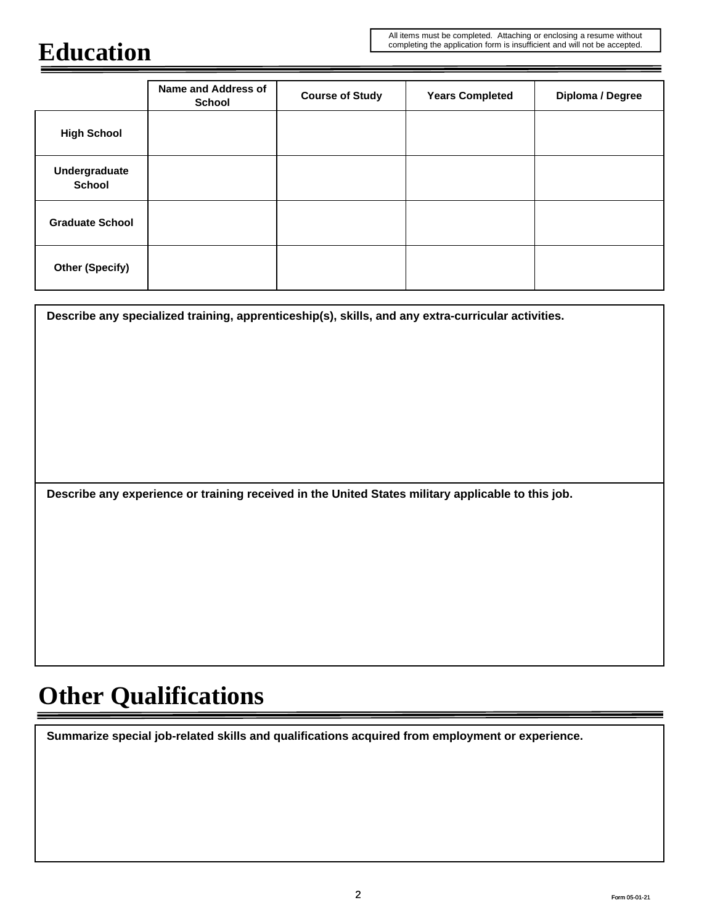## **Education**

|                                | <b>Name and Address of</b><br><b>School</b> | <b>Course of Study</b> | <b>Years Completed</b> | Diploma / Degree |
|--------------------------------|---------------------------------------------|------------------------|------------------------|------------------|
| <b>High School</b>             |                                             |                        |                        |                  |
| Undergraduate<br><b>School</b> |                                             |                        |                        |                  |
| <b>Graduate School</b>         |                                             |                        |                        |                  |
| <b>Other (Specify)</b>         |                                             |                        |                        |                  |

**Describe any specialized training, apprenticeship(s), skills, and any extra-curricular activities.**

**Describe any experience or training received in the United States military applicable to this job.**

## **Other Qualifications**

**Summarize special job-related skills and qualifications acquired from employment or experience.**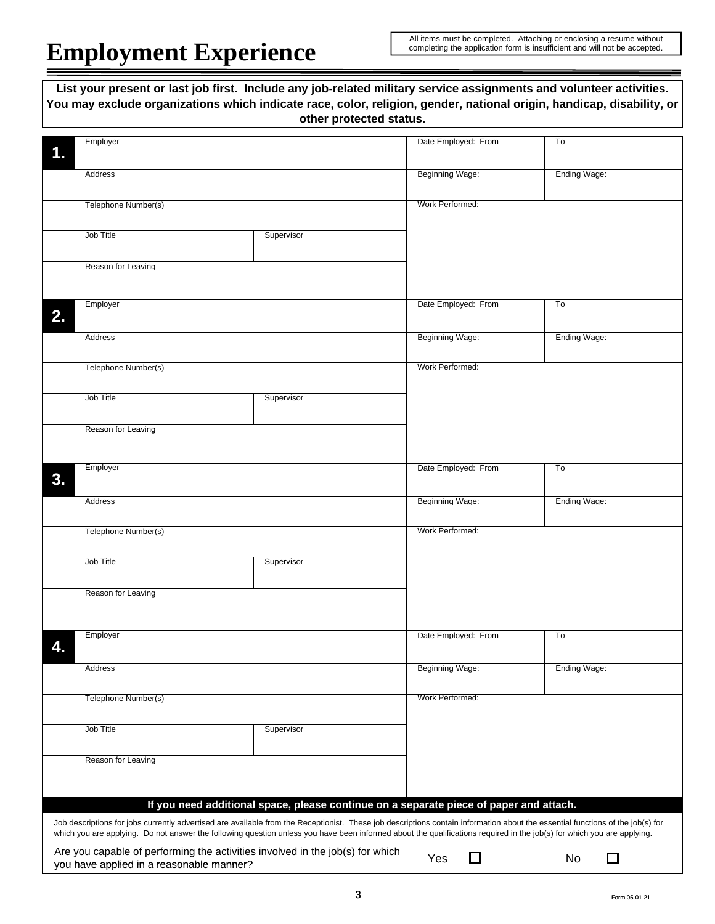# **Employment Experience**

All items must be completed. Attaching or enclosing a resume without completing the application form is insufficient and will not be accepted.

|                                          | List your present or last job first. Include any job-related military service assignments and volunteer activities.<br>You may exclude organizations which indicate race, color, religion, gender, national origin, handicap, disability, or<br>other protected status. |                        |              |
|------------------------------------------|-------------------------------------------------------------------------------------------------------------------------------------------------------------------------------------------------------------------------------------------------------------------------|------------------------|--------------|
|                                          |                                                                                                                                                                                                                                                                         |                        |              |
| Employer                                 |                                                                                                                                                                                                                                                                         | Date Employed: From    | To           |
|                                          |                                                                                                                                                                                                                                                                         |                        |              |
| Address                                  |                                                                                                                                                                                                                                                                         | Beginning Wage:        | Ending Wage: |
|                                          |                                                                                                                                                                                                                                                                         |                        |              |
| Telephone Number(s)                      |                                                                                                                                                                                                                                                                         | Work Performed:        |              |
|                                          |                                                                                                                                                                                                                                                                         |                        |              |
| Job Title                                | Supervisor                                                                                                                                                                                                                                                              |                        |              |
|                                          |                                                                                                                                                                                                                                                                         |                        |              |
| Reason for Leaving                       |                                                                                                                                                                                                                                                                         |                        |              |
|                                          |                                                                                                                                                                                                                                                                         |                        |              |
|                                          |                                                                                                                                                                                                                                                                         |                        |              |
| Employer                                 |                                                                                                                                                                                                                                                                         | Date Employed: From    | To           |
|                                          |                                                                                                                                                                                                                                                                         |                        |              |
| Address                                  |                                                                                                                                                                                                                                                                         | Beginning Wage:        | Ending Wage: |
|                                          |                                                                                                                                                                                                                                                                         |                        |              |
| Telephone Number(s)                      |                                                                                                                                                                                                                                                                         | Work Performed:        |              |
|                                          |                                                                                                                                                                                                                                                                         |                        |              |
| Job Title                                | Supervisor                                                                                                                                                                                                                                                              |                        |              |
|                                          |                                                                                                                                                                                                                                                                         |                        |              |
| Reason for Leaving                       |                                                                                                                                                                                                                                                                         |                        |              |
|                                          |                                                                                                                                                                                                                                                                         |                        |              |
|                                          |                                                                                                                                                                                                                                                                         |                        |              |
| Employer                                 |                                                                                                                                                                                                                                                                         | Date Employed: From    | To           |
|                                          |                                                                                                                                                                                                                                                                         |                        |              |
| Address                                  |                                                                                                                                                                                                                                                                         | <b>Beginning Wage:</b> | Ending Wage: |
|                                          |                                                                                                                                                                                                                                                                         |                        |              |
| Telephone Number(s)                      |                                                                                                                                                                                                                                                                         | Work Performed:        |              |
|                                          |                                                                                                                                                                                                                                                                         |                        |              |
| Job Title                                | Supervisor                                                                                                                                                                                                                                                              |                        |              |
|                                          |                                                                                                                                                                                                                                                                         |                        |              |
| Reason for Leaving                       |                                                                                                                                                                                                                                                                         |                        |              |
|                                          |                                                                                                                                                                                                                                                                         |                        |              |
|                                          |                                                                                                                                                                                                                                                                         |                        |              |
| Employer                                 |                                                                                                                                                                                                                                                                         | Date Employed: From    | To           |
|                                          |                                                                                                                                                                                                                                                                         |                        |              |
|                                          |                                                                                                                                                                                                                                                                         |                        | Ending Wage: |
| Address                                  |                                                                                                                                                                                                                                                                         | <b>Beginning Wage:</b> |              |
|                                          |                                                                                                                                                                                                                                                                         |                        |              |
| Telephone Number(s)                      |                                                                                                                                                                                                                                                                         | Work Performed:        |              |
|                                          |                                                                                                                                                                                                                                                                         |                        |              |
| Job Title                                | Supervisor                                                                                                                                                                                                                                                              |                        |              |
|                                          |                                                                                                                                                                                                                                                                         |                        |              |
| Reason for Leaving                       |                                                                                                                                                                                                                                                                         |                        |              |
|                                          |                                                                                                                                                                                                                                                                         |                        |              |
|                                          |                                                                                                                                                                                                                                                                         |                        |              |
|                                          | If you need additional space, please continue on a separate piece of paper and attach.                                                                                                                                                                                  |                        |              |
|                                          | Job descriptions for jobs currently advertised are available from the Receptionist. These job descriptions contain information about the essential functions of the job(s) for                                                                                          |                        |              |
|                                          | which you are applying. Do not answer the following question unless you have been informed about the qualifications required in the job(s) for which you are applying.                                                                                                  |                        |              |
|                                          | Are you capable of performing the activities involved in the job(s) for which                                                                                                                                                                                           |                        |              |
| you have applied in a reasonable manner? |                                                                                                                                                                                                                                                                         | $\Box$<br>Yes          | $\Box$<br>No |
|                                          |                                                                                                                                                                                                                                                                         |                        |              |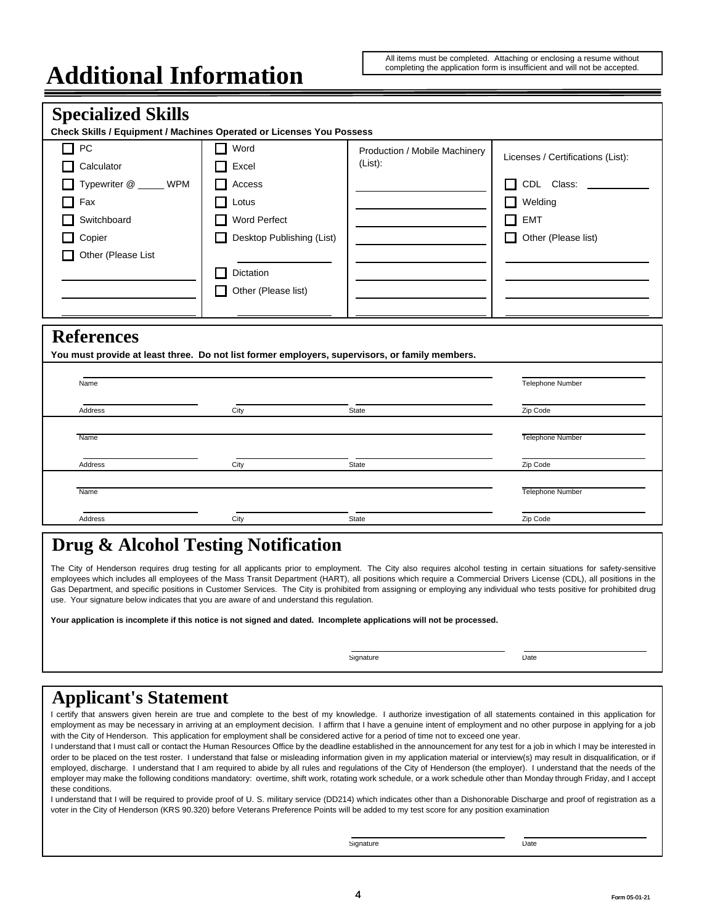#### All items must be completed. Attaching or enclosing a resume without completing the application form is insufficient and will not be accepted.

## **Additional Information**

| <b>Specialized Skills</b><br>Check Skills / Equipment / Machines Operated or Licenses You Possess                   |                                                                                                                                                             |                                             |                                                                                                                            |
|---------------------------------------------------------------------------------------------------------------------|-------------------------------------------------------------------------------------------------------------------------------------------------------------|---------------------------------------------|----------------------------------------------------------------------------------------------------------------------------|
| PC<br>П<br>Calculator<br>Typewriter @ _____ WPM<br>Fax<br>Switchboard<br>Copier<br>Other (Please List               | П<br>Word<br>Excel<br>H<br>Access<br>H<br>Lotus<br>П<br><b>Word Perfect</b><br>Desktop Publishing (List)<br>H<br>Dictation<br>П<br>Other (Please list)<br>П | Production / Mobile Machinery<br>$(List)$ : | Licenses / Certifications (List):<br>CDL Class:<br>П<br>Welding<br>l 1<br><b>EMT</b><br>$\Box$<br>Other (Please list)<br>П |
| <b>References</b><br>You must provide at least three. Do not list former employers, supervisors, or family members. |                                                                                                                                                             |                                             |                                                                                                                            |
| Name                                                                                                                |                                                                                                                                                             |                                             | <b>Telephone Number</b>                                                                                                    |
| Address                                                                                                             | City                                                                                                                                                        | State                                       | Zip Code                                                                                                                   |
| Name                                                                                                                |                                                                                                                                                             |                                             | Telephone Number                                                                                                           |
| Address                                                                                                             | City                                                                                                                                                        | <b>State</b>                                | Zip Code                                                                                                                   |
| Name                                                                                                                |                                                                                                                                                             |                                             | <b>Telephone Number</b>                                                                                                    |
| Address                                                                                                             | City                                                                                                                                                        | <b>State</b>                                | Zip Code                                                                                                                   |
|                                                                                                                     |                                                                                                                                                             |                                             |                                                                                                                            |

## **Drug & Alcohol Testing Notification**

The City of Henderson requires drug testing for all applicants prior to employment. The City also requires alcohol testing in certain situations for safety-sensitive employees which includes all employees of the Mass Transit Department (HART), all positions which require a Commercial Drivers License (CDL), all positions in the Gas Department, and specific positions in Customer Services. The City is prohibited from assigning or employing any individual who tests positive for prohibited drug use. Your signature below indicates that you are aware of and understand this regulation.

**Your application is incomplete if this notice is not signed and dated. Incomplete applications will not be processed.**

Signature Date

## **Applicant's Statement**

I certify that answers given herein are true and complete to the best of my knowledge. I authorize investigation of all statements contained in this application for employment as may be necessary in arriving at an employment decision. I affirm that I have a genuine intent of employment and no other purpose in applying for a job with the City of Henderson. This application for employment shall be considered active for a period of time not to exceed one year.

I understand that I must call or contact the Human Resources Office by the deadline established in the announcement for any test for a job in which I may be interested in order to be placed on the test roster. I understand that false or misleading information given in my application material or interview(s) may result in disqualification, or if employed, discharge. I understand that I am required to abide by all rules and regulations of the City of Henderson (the employer). I understand that the needs of the employer may make the following conditions mandatory: overtime, shift work, rotating work schedule, or a work schedule other than Monday through Friday, and I accept these conditions.

I understand that I will be required to provide proof of U. S. military service (DD214) which indicates other than a Dishonorable Discharge and proof of registration as a voter in the City of Henderson (KRS 90.320) before Veterans Preference Points will be added to my test score for any position examination

Signature Date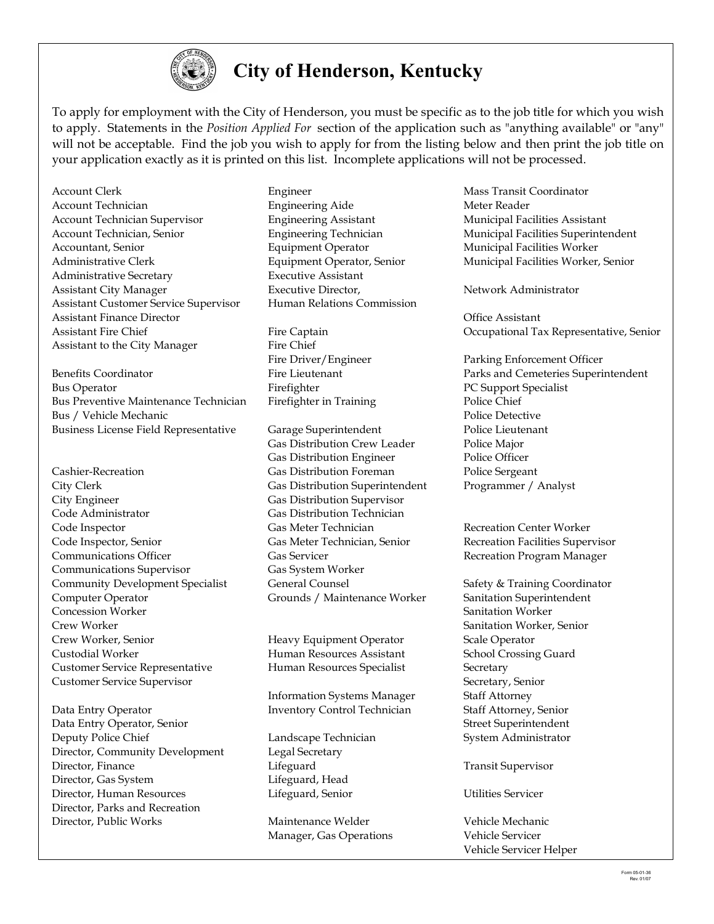

## **City of Henderson, Kentucky**

To apply for employment with the City of Henderson, you must be specific as to the job title for which you wish to apply. Statements in the *Position Applied For* section of the application such as "anything available" or "any" will not be acceptable. Find the job you wish to apply for from the listing below and then print the job title on your application exactly as it is printed on this list. Incomplete applications will not be processed.

Account Clerk **Engineer** Engineer Mass Transit Coordinator Account Technician Engineering Aide Meter Reader Account Technician Supervisor **Engineering Assistant** Municipal Facilities Assistant Account Technician, Senior Engineering Technician Municipal Facilities Superintendent Accountant, Senior **Equipment Operator** Municipal Facilities Worker Administrative Clerk Equipment Operator, Senior Municipal Facilities Worker, Senior Administrative Secretary Executive Assistant Assistant City Manager Executive Director, Network Administrator Assistant Customer Service Supervisor Human Relations Commission Assistant Finance Director Office Assistant Assistant to the City Manager Fire Chief

Benefits Coordinator **Fire Lieutenant** Parks and Cemeteries Superintendent Bus Operator **Firefighter** Fixed Exercise **PC** Support Specialist Bus Preventive Maintenance Technician Firefighter in Training Police Chief Bus / Vehicle Mechanic **Police Detective** Police Detective Business License Field Representative Garage Superintendent Police Lieutenant

- Cashier-Recreation **Gas Distribution Foreman** Police Sergeant City Clerk Gas Distribution Superintendent Programmer / Analyst City Engineer Gas Distribution Supervisor Code Administrator Gas Distribution Technician Code Inspector Gas Meter Technician Recreation Center Worker Code Inspector, Senior Gas Meter Technician, Senior Recreation Facilities Supervisor Communications Officer **Gas Servicer** Gas Servicer Recreation Program Manager Communications Supervisor Gas System Worker Community Development Specialist General Counsel Safety & Training Coordinator Computer Operator Grounds / Maintenance Worker Sanitation Superintendent Concession Worker Sanitation Worker Crew Worker Sanitation Worker, Senior Crew Worker, Senior Heavy Equipment Operator Scale Operator Custodial Worker Human Resources Assistant School Crossing Guard Customer Service Representative Human Resources Specialist Secretary Customer Service Supervisor Secretary, Senior
- Data Entry Operator Inventory Control Technician Staff Attorney, Senior Data Entry Operator, Senior Street Superintendent Street Superintendent Deputy Police Chief Landscape Technician System Administrator Director, Community Development Legal Secretary Director, Finance Lifeguard Transit Supervisor Director, Gas System Lifeguard, Head Director, Human Resources Lifeguard, Senior Utilities Servicer Director, Parks and Recreation Director, Public Works Maintenance Welder Vehicle Mechanic

Gas Distribution Crew Leader Police Major Gas Distribution Engineer Police Officer

Information Systems Manager Staff Attorney

Manager, Gas Operations Vehicle Servicer

Assistant Fire Chief Fire Captain Fire Captain Cocupational Tax Representative, Senior

Fire Driver/Engineer Parking Enforcement Officer

Vehicle Servicer Helper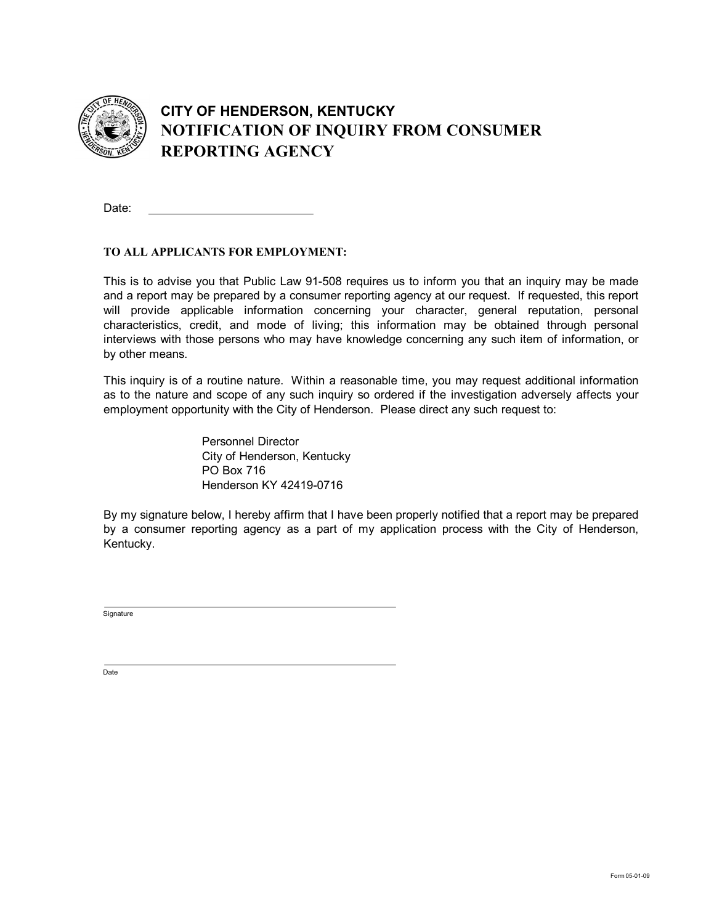

## **CITY OF HENDERSON, KENTUCKY NOTIFICATION OF INQUIRY FROM CONSUMER REPORTING AGENCY**

Date:

#### **TO ALL APPLICANTS FOR EMPLOYMENT:**

This is to advise you that Public Law 91-508 requires us to inform you that an inquiry may be made and a report may be prepared by a consumer reporting agency at our request. If requested, this report will provide applicable information concerning your character, general reputation, personal characteristics, credit, and mode of living; this information may be obtained through personal interviews with those persons who may have knowledge concerning any such item of information, or by other means.

This inquiry is of a routine nature. Within a reasonable time, you may request additional information as to the nature and scope of any such inquiry so ordered if the investigation adversely affects your employment opportunity with the City of Henderson. Please direct any such request to:

> Personnel Director City of Henderson, Kentucky PO Box 716 Henderson KY 42419-0716

By my signature below, I hereby affirm that I have been properly notified that a report may be prepared by a consumer reporting agency as a part of my application process with the City of Henderson, Kentucky.

**Signature** 

Date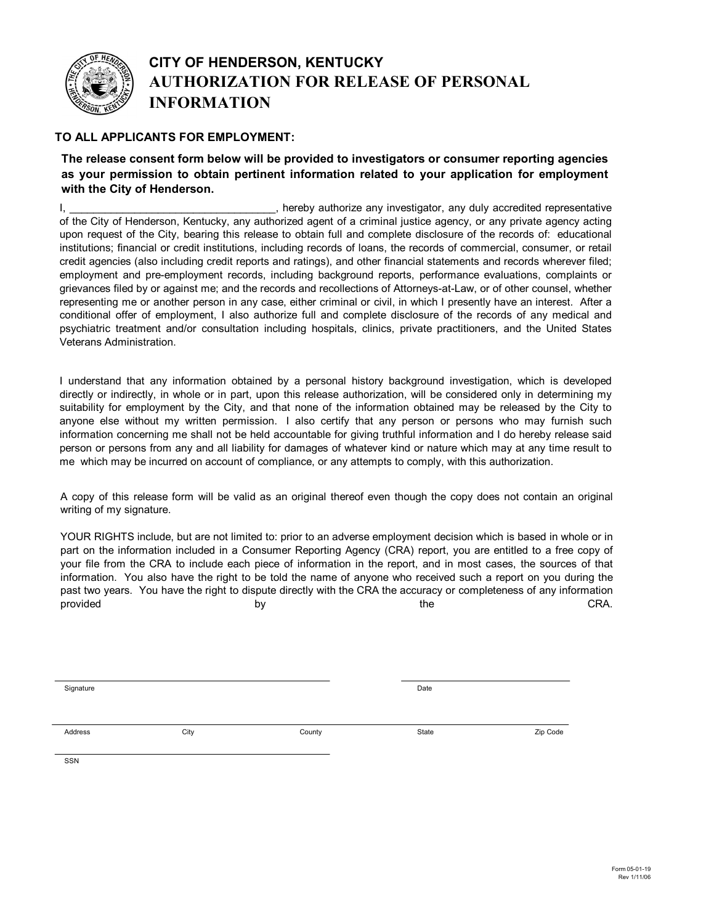

#### **CITY OF HENDERSON, KENTUCKY AUTHORIZATION FOR RELEASE OF PERSONAL INFORMATION**

#### **TO ALL APPLICANTS FOR EMPLOYMENT:**

#### **The release consent form below will be provided to investigators or consumer reporting agencies as your permission to obtain pertinent information related to your application for employment with the City of Henderson.**

I, thereby authorize any investigator, any duly accredited representative of the City of Henderson, Kentucky, any authorized agent of a criminal justice agency, or any private agency acting upon request of the City, bearing this release to obtain full and complete disclosure of the records of: educational institutions; financial or credit institutions, including records of loans, the records of commercial, consumer, or retail credit agencies (also including credit reports and ratings), and other financial statements and records wherever filed; employment and pre-employment records, including background reports, performance evaluations, complaints or grievances filed by or against me; and the records and recollections of Attorneys-at-Law, or of other counsel, whether representing me or another person in any case, either criminal or civil, in which I presently have an interest. After a conditional offer of employment, I also authorize full and complete disclosure of the records of any medical and psychiatric treatment and/or consultation including hospitals, clinics, private practitioners, and the United States Veterans Administration.

I understand that any information obtained by a personal history background investigation, which is developed directly or indirectly, in whole or in part, upon this release authorization, will be considered only in determining my suitability for employment by the City, and that none of the information obtained may be released by the City to anyone else without my written permission. I also certify that any person or persons who may furnish such information concerning me shall not be held accountable for giving truthful information and I do hereby release said person or persons from any and all liability for damages of whatever kind or nature which may at any time result to me which may be incurred on account of compliance, or any attempts to comply, with this authorization.

A copy of this release form will be valid as an original thereof even though the copy does not contain an original writing of my signature.

YOUR RIGHTS include, but are not limited to: prior to an adverse employment decision which is based in whole or in part on the information included in a Consumer Reporting Agency (CRA) report, you are entitled to a free copy of your file from the CRA to include each piece of information in the report, and in most cases, the sources of that information. You also have the right to be told the name of anyone who received such a report on you during the past two years. You have the right to dispute directly with the CRA the accuracy or completeness of any information provided by the CRA.

Signature **Date** 

Address and Society City and State County County State State State Zip Code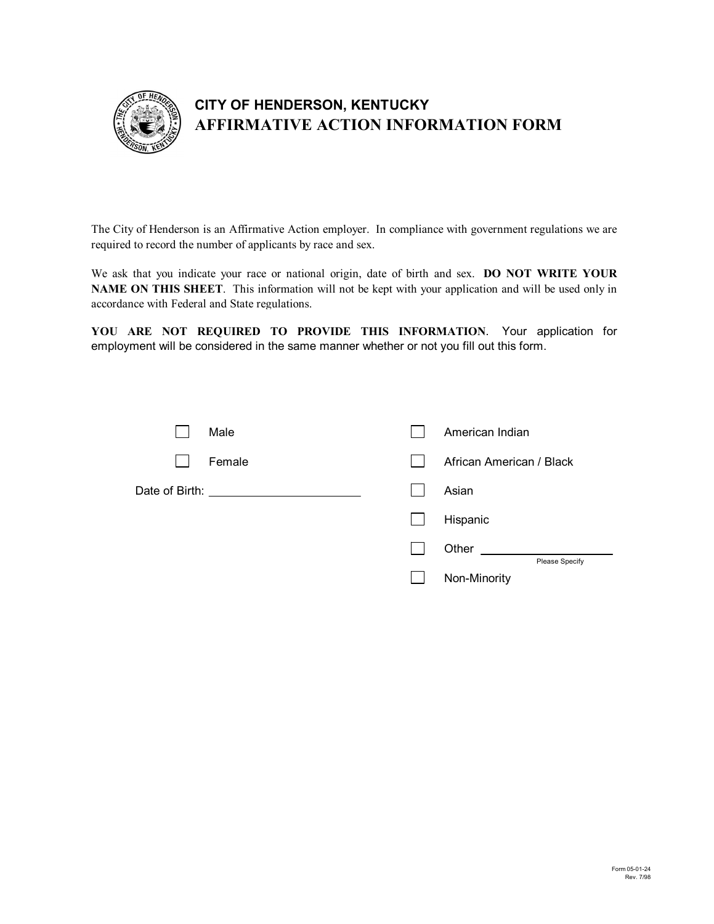

### **CITY OF HENDERSON, KENTUCKY AFFIRMATIVE ACTION INFORMATION FORM**

The City of Henderson is an Affirmative Action employer. In compliance with government regulations we are required to record the number of applicants by race and sex.

We ask that you indicate your race or national origin, date of birth and sex. **DO NOT WRITE YOUR NAME ON THIS SHEET**. This information will not be kept with your application and will be used only in accordance with Federal and State regulations.

**YOU ARE NOT REQUIRED TO PROVIDE THIS INFORMATION**. Your application for employment will be considered in the same manner whether or not you fill out this form.

| Male                                      | American Indian                |
|-------------------------------------------|--------------------------------|
| Female                                    | African American / Black       |
| Date of Birth: __________________________ | Asian                          |
|                                           | Hispanic                       |
|                                           | Other                          |
|                                           | Please Specify<br>Non-Minority |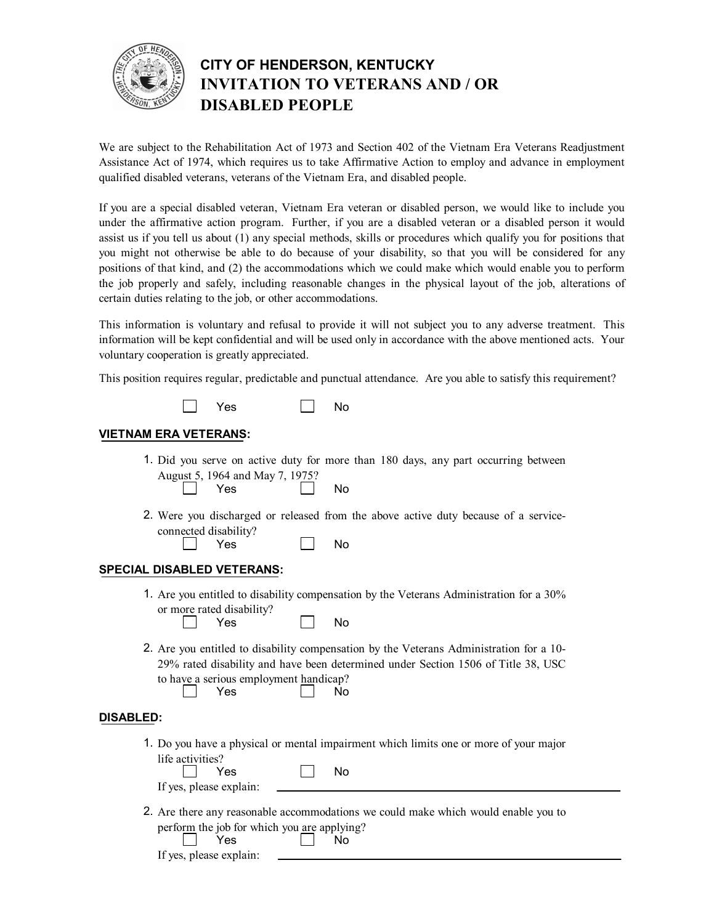

## **CITY OF HENDERSON, KENTUCKY INVITATION TO VETERANS AND / OR DISABLED PEOPLE**

We are subject to the Rehabilitation Act of 1973 and Section 402 of the Vietnam Era Veterans Readjustment Assistance Act of 1974, which requires us to take Affirmative Action to employ and advance in employment qualified disabled veterans, veterans of the Vietnam Era, and disabled people.

If you are a special disabled veteran, Vietnam Era veteran or disabled person, we would like to include you under the affirmative action program. Further, if you are a disabled veteran or a disabled person it would assist us if you tell us about (1) any special methods, skills or procedures which qualify you for positions that you might not otherwise be able to do because of your disability, so that you will be considered for any positions of that kind, and (2) the accommodations which we could make which would enable you to perform the job properly and safely, including reasonable changes in the physical layout of the job, alterations of certain duties relating to the job, or other accommodations.

This information is voluntary and refusal to provide it will not subject you to any adverse treatment. This information will be kept confidential and will be used only in accordance with the above mentioned acts. Your voluntary cooperation is greatly appreciated.

This position requires regular, predictable and punctual attendance. Are you able to satisfy this requirement?



#### **VIETNAM ERA VETERANS:**

- 1. Did you serve on active duty for more than 180 days, any part occurring between Yes No August 5, 1964 and May 7, 1975?
- 2. Were you discharged or released from the above active duty because of a service connected disability?

| Yes | No |  |
|-----|----|--|
|-----|----|--|

#### **SPECIAL DISABLED VETERANS:**

1. Are you entitled to disability compensation by the Veterans Administration for a 30% or more rated disability?

| No<br>Yes |
|-----------|
|-----------|

2. Are you entitled to disability compensation by the Veterans Administration for a 10 Yes **No** 29% rated disability and have been determined under Section 1506 of Title 38, USC to have a serious employment handicap?

#### **DISABLED:**

1. Do you have a physical or mental impairment which limits one or more of your major life activities?

| Yes                     | N٥ |  |
|-------------------------|----|--|
| If yes, please explain: |    |  |

2. Are there any reasonable accommodations we could make which would enable you to Yes No perform the job for which you are applying?<br>  $\sqrt{1 + \frac{1}{\sqrt{1 + \frac{1}{\sqrt{1 + \frac{1}{\sqrt{1 + \frac{1}{\sqrt{1 + \frac{1}{\sqrt{1 + \frac{1}{\sqrt{1 + \frac{1}{\sqrt{1 + \frac{1}{\sqrt{1 + \frac{1}{\sqrt{1 + \frac{1}{\sqrt{1 + \frac{1}{\sqrt{1 + \frac{1}{\sqrt{1 + \frac{1}{\sqrt{1 + \frac{1}{\sqrt{1 + \frac{1}{\sqrt{1 + \frac{1}{\sqrt{1 + \frac{1}{\sqrt{1 +$ 

| .                       |  |
|-------------------------|--|
| If yes, please explain: |  |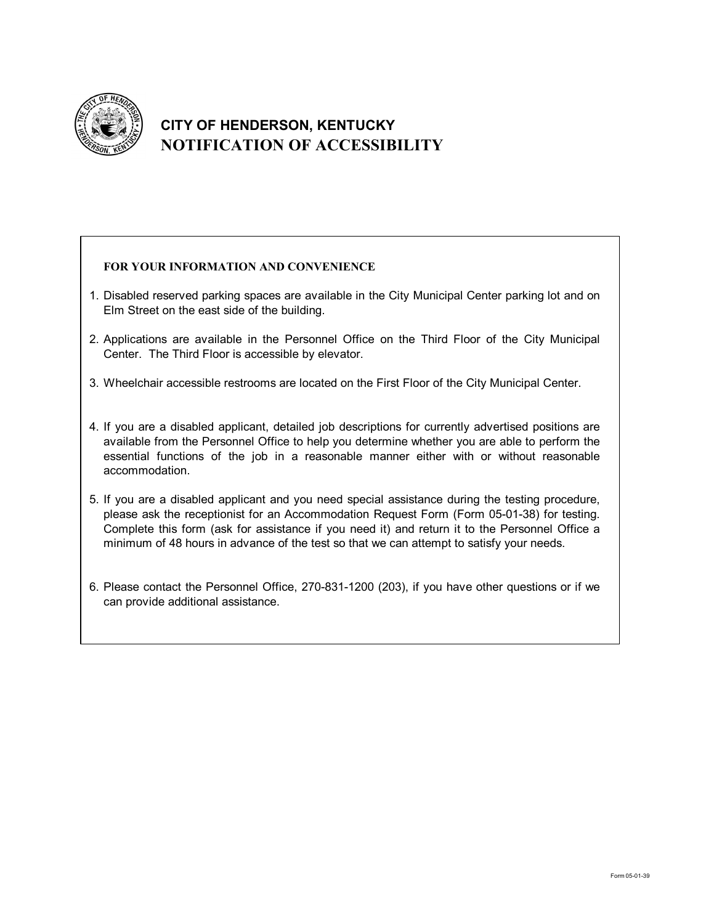

## **CITY OF HENDERSON, KENTUCKY NOTIFICATION OF ACCESSIBILITY**

#### **FOR YOUR INFORMATION AND CONVENIENCE**

- 1. Disabled reserved parking spaces are available in the City Municipal Center parking lot and on Elm Street on the east side of the building.
- 2. Applications are available in the Personnel Office on the Third Floor of the City Municipal Center. The Third Floor is accessible by elevator.
- 3. Wheelchair accessible restrooms are located on the First Floor of the City Municipal Center.
- 4. If you are a disabled applicant, detailed job descriptions for currently advertised positions are available from the Personnel Office to help you determine whether you are able to perform the essential functions of the job in a reasonable manner either with or without reasonable accommodation.
- 5. If you are a disabled applicant and you need special assistance during the testing procedure, please ask the receptionist for an Accommodation Request Form (Form 05-01-38) for testing. Complete this form (ask for assistance if you need it) and return it to the Personnel Office a minimum of 48 hours in advance of the test so that we can attempt to satisfy your needs.
- 6. Please contact the Personnel Office, 270-831-1200 (203), if you have other questions or if we  $\quad \mid$ can provide additional assistance.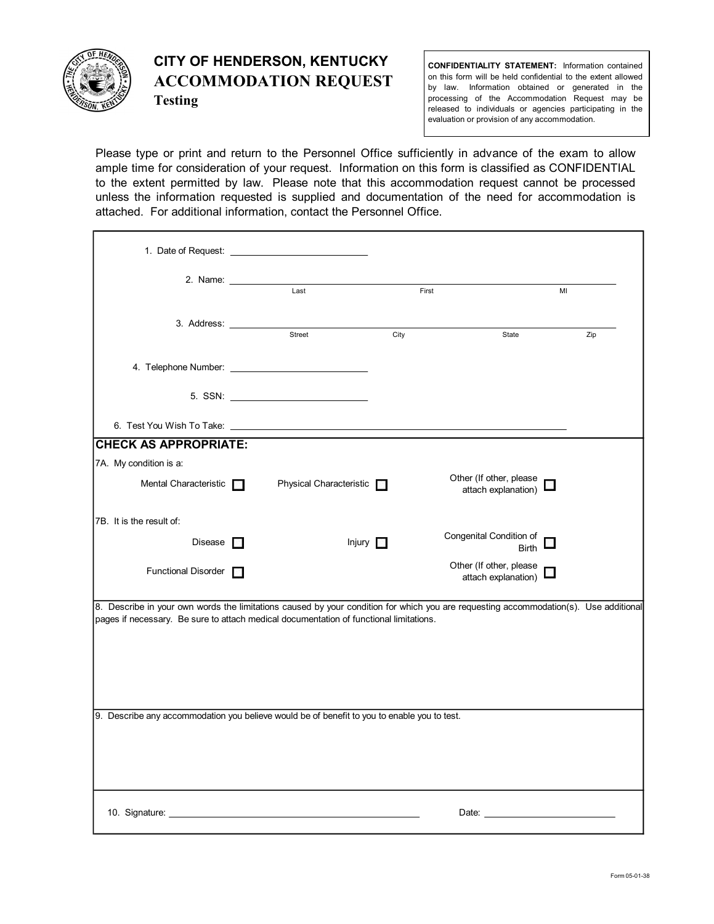

### **CITY OF HENDERSON, KENTUCKY ACCOMMODATION REQUEST Testing**

**CONFIDENTIALITY STATEMENT:** Information contained on this form will be held confidential to the extent allowed by law. Information obtained or generated in the processing of the Accommodation Request may be released to individuals or agencies participating in the evaluation or provision of any accommodation.

Please type or print and return to the Personnel Office sufficiently in advance of the exam to allow ample time for consideration of your request. Information on this form is classified as CONFIDENTIAL to the extent permitted by law. Please note that this accommodation request cannot be processed unless the information requested is supplied and documentation of the need for accommodation is attached. For additional information, contact the Personnel Office.

|                              | Last                                                                                                                                                                                                                                 | First |                                                                                                                                                                                                                                | MI  |
|------------------------------|--------------------------------------------------------------------------------------------------------------------------------------------------------------------------------------------------------------------------------------|-------|--------------------------------------------------------------------------------------------------------------------------------------------------------------------------------------------------------------------------------|-----|
|                              |                                                                                                                                                                                                                                      |       |                                                                                                                                                                                                                                |     |
|                              | Street                                                                                                                                                                                                                               | City  | State                                                                                                                                                                                                                          | Zip |
|                              |                                                                                                                                                                                                                                      |       |                                                                                                                                                                                                                                |     |
|                              |                                                                                                                                                                                                                                      |       |                                                                                                                                                                                                                                |     |
|                              |                                                                                                                                                                                                                                      |       |                                                                                                                                                                                                                                |     |
| <b>CHECK AS APPROPRIATE:</b> |                                                                                                                                                                                                                                      |       |                                                                                                                                                                                                                                |     |
| 7A. My condition is a:       |                                                                                                                                                                                                                                      |       |                                                                                                                                                                                                                                |     |
| Mental Characteristic        | Physical Characteristic                                                                                                                                                                                                              |       | Other (If other, please<br>attach explanation)                                                                                                                                                                                 |     |
| 7B. It is the result of:     |                                                                                                                                                                                                                                      |       |                                                                                                                                                                                                                                |     |
| Disease $\Box$               | Injury <b>n</b>                                                                                                                                                                                                                      |       | Congenital Condition of<br><b>Birth</b>                                                                                                                                                                                        |     |
| Functional Disorder          |                                                                                                                                                                                                                                      |       | Other (If other, please<br>attach explanation)                                                                                                                                                                                 |     |
|                              | 8. Describe in your own words the limitations caused by your condition for which you are requesting accommodation(s). Use additional<br>pages if necessary. Be sure to attach medical documentation of functional limitations.       |       |                                                                                                                                                                                                                                |     |
|                              | 9. Describe any accommodation you believe would be of benefit to you to enable you to test.                                                                                                                                          |       |                                                                                                                                                                                                                                |     |
|                              | 10. Signature: <u>contract and a series of the series of the series of the series of the series of the series of the series of the series of the series of the series of the series of the series of the series of the series of</u> |       | Date: the contract of the contract of the contract of the contract of the contract of the contract of the contract of the contract of the contract of the contract of the contract of the contract of the contract of the cont |     |